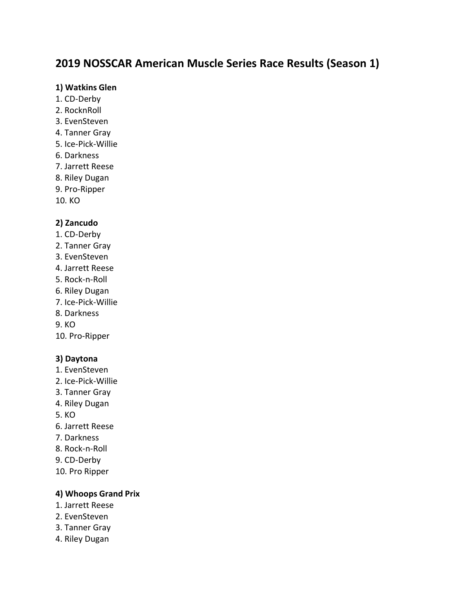# **2019 NOSSCAR American Muscle Series Race Results (Season 1)**

#### **1) Watkins Glen**

- 1. CD-Derby
- 2. RocknRoll
- 3. EvenSteven
- 4. Tanner Gray
- 5. Ice-Pick-Willie
- 6. Darkness
- 7. Jarrett Reese
- 8. Riley Dugan
- 9. Pro-Ripper
- 10. KO

# **2) Zancudo**

- 1. CD-Derby
- 2. Tanner Gray
- 3. EvenSteven
- 4. Jarrett Reese
- 5. Rock-n-Roll
- 6. Riley Dugan
- 7. Ice-Pick-Willie
- 8. Darkness
- 9. KO
- 10. Pro-Ripper

# **3) Daytona**

- 1. EvenSteven
- 2. Ice-Pick-Willie
- 3. Tanner Gray
- 4. Riley Dugan
- 5. KO
- 6. Jarrett Reese
- 7. Darkness
- 8. Rock-n-Roll
- 9. CD-Derby
- 10. Pro Ripper

# **4) Whoops Grand Prix**

- 1. Jarrett Reese
- 2. EvenSteven
- 3. Tanner Gray
- 4. Riley Dugan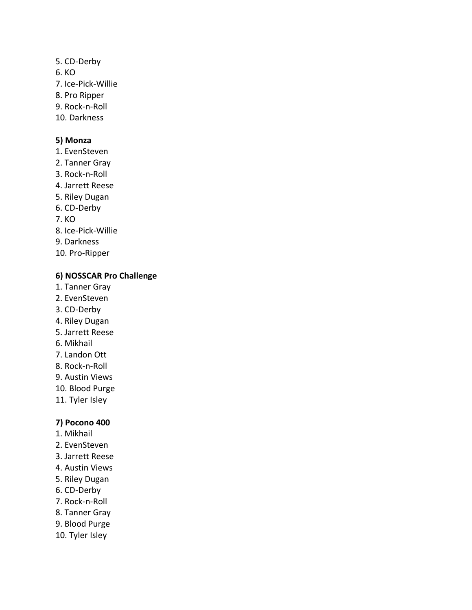- 5. CD-Derby
- 6. KO
- 7. Ice-Pick-Willie
- 8. Pro Ripper
- 9. Rock-n-Roll
- 10. Darkness

# **5) Monza**

- 1. EvenSteven
- 2. Tanner Gray
- 3. Rock-n-Roll
- 4. Jarrett Reese
- 5. Riley Dugan
- 6. CD-Derby
- 7. KO
- 8. Ice-Pick-Willie
- 9. Darkness
- 10. Pro-Ripper

# **6) NOSSCAR Pro Challenge**

- 1. Tanner Gray
- 2. EvenSteven
- 3. CD-Derby
- 4. Riley Dugan
- 5. Jarrett Reese
- 6. Mikhail
- 7. Landon Ott
- 8. Rock-n-Roll
- 9. Austin Views
- 10. Blood Purge
- 11. Tyler Isley

# **7) Pocono 400**

- 1. Mikhail
- 2. EvenSteven
- 3. Jarrett Reese
- 4. Austin Views
- 5. Riley Dugan
- 6. CD-Derby
- 7. Rock-n-Roll
- 8. Tanner Gray
- 9. Blood Purge
- 10. Tyler Isley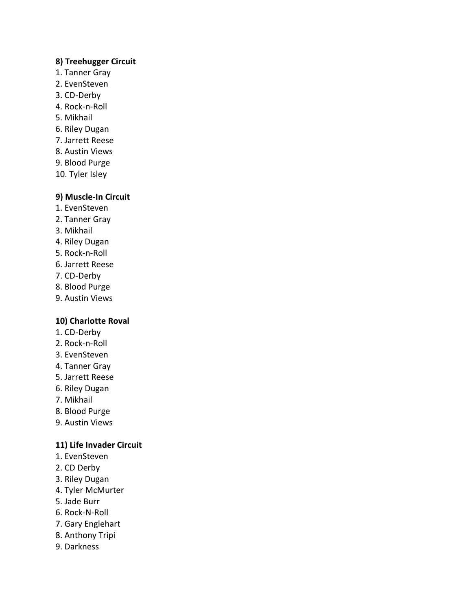#### **8) Treehugger Circuit**

- 1. Tanner Gray
- 2. EvenSteven
- 3. CD-Derby
- 4. Rock-n-Roll
- 5. Mikhail
- 6. Riley Dugan
- 7. Jarrett Reese
- 8. Austin Views
- 9. Blood Purge
- 10. Tyler Isley

### **9) Muscle-In Circuit**

- 1. EvenSteven
- 2. Tanner Gray
- 3. Mikhail
- 4. Riley Dugan
- 5. Rock-n-Roll
- 6. Jarrett Reese
- 7. CD-Derby
- 8. Blood Purge
- 9. Austin Views

#### **10) Charlotte Roval**

- 1. CD-Derby
- 2. Rock-n-Roll
- 3. EvenSteven
- 4. Tanner Gray
- 5. Jarrett Reese
- 6. Riley Dugan
- 7. Mikhail
- 8. Blood Purge
- 9. Austin Views

#### **11) Life Invader Circuit**

- 1. EvenSteven
- 2. CD Derby
- 3. Riley Dugan
- 4. Tyler McMurter
- 5. Jade Burr
- 6. Rock-N-Roll
- 7. Gary Englehart
- 8. Anthony Tripi
- 9. Darkness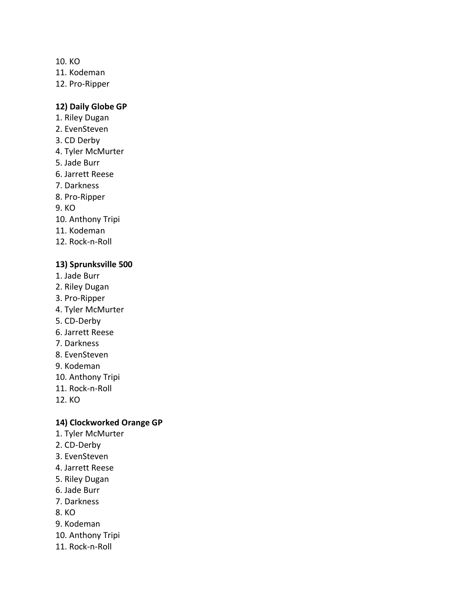10. KO

11. Kodeman

12. Pro-Ripper

## **12) Daily Globe GP**

- 1. Riley Dugan
- 2. EvenSteven
- 3. CD Derby
- 4. Tyler McMurter
- 5. Jade Burr
- 6. Jarrett Reese
- 7. Darkness
- 8. Pro-Ripper
- 9. KO
- 10. Anthony Tripi
- 11. Kodeman
- 12. Rock-n-Roll

#### **13) Sprunksville 500**

- 1. Jade Burr
- 2. Riley Dugan
- 3. Pro-Ripper
- 4. Tyler McMurter
- 5. CD-Derby
- 6. Jarrett Reese
- 7. Darkness
- 8. EvenSteven
- 9. Kodeman
- 10. Anthony Tripi
- 11. Rock-n-Roll
- 12. KO

#### **14) Clockworked Orange GP**

- 1. Tyler McMurter
- 2. CD-Derby
- 3. EvenSteven
- 4. Jarrett Reese
- 5. Riley Dugan
- 6. Jade Burr
- 7. Darkness
- 8. KO
- 9. Kodeman
- 10. Anthony Tripi
- 11. Rock-n-Roll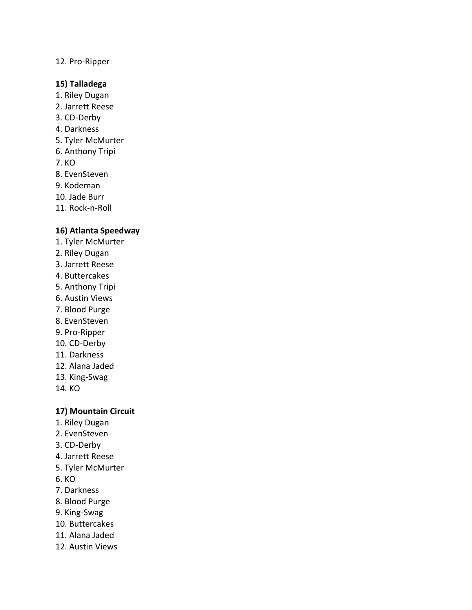# 12. Pro-Ripper

#### **15) Talladega**

- 1. Riley Dugan
- 2. Jarrett Reese
- 3. CD-Derby
- 4. Darkness
- 5. Tyler McMurter
- 6. Anthony Tripi
- 7. KO
- 8. EvenSteven
- 9. Kodeman
- 10. Jade Burr
- 11. Rock-n-Roll

#### **16) Atlanta Speedway**

- 1. Tyler McMurter
- 2. Riley Dugan
- 3. Jarrett Reese
- 4. Buttercakes
- 5. Anthony Tripi
- 6. Austin Views
- 7. Blood Purge
- 8. EvenSteven
- 9. Pro-Ripper
- 10. CD-Derby
- 11. Darkness
- 12. Alana Jaded
- 13. King-Swag
- 14. KO

#### **17) Mountain Circuit**

- 1. Riley Dugan
- 2. EvenSteven
- 3. CD-Derby
- 4. Jarrett Reese
- 5. Tyler McMurter
- 6. KO
- 7. Darkness
- 8. Blood Purge
- 9. King-Swag
- 10. Buttercakes
- 11. Alana Jaded
- 12. Austin Views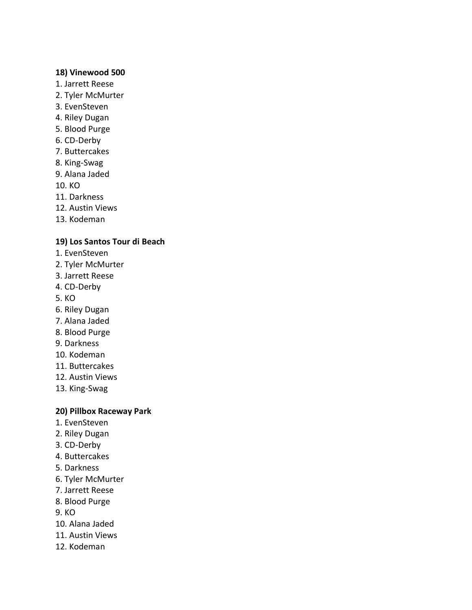#### **18) Vinewood 500**

- 1. Jarrett Reese
- 2. Tyler McMurter
- 3. EvenSteven
- 4. Riley Dugan
- 5. Blood Purge
- 6. CD-Derby
- 7. Buttercakes
- 8. King-Swag
- 9. Alana Jaded

10. KO

- 11. Darkness
- 12. Austin Views
- 13. Kodeman

#### **19) Los Santos Tour di Beach**

- 1. EvenSteven
- 2. Tyler McMurter
- 3. Jarrett Reese
- 4. CD-Derby
- 5. KO
- 6. Riley Dugan
- 7. Alana Jaded
- 8. Blood Purge
- 9. Darkness
- 10. Kodeman
- 11. Buttercakes
- 12. Austin Views
- 13. King-Swag

#### **20) Pillbox Raceway Park**

- 1. EvenSteven
- 2. Riley Dugan
- 3. CD-Derby
- 4. Buttercakes
- 5. Darkness
- 6. Tyler McMurter
- 7. Jarrett Reese
- 8. Blood Purge
- 9. KO
- 10. Alana Jaded
- 11. Austin Views
- 12. Kodeman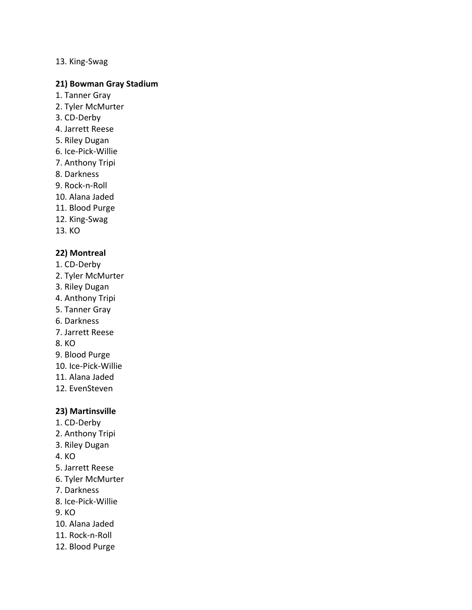#### 13. King-Swag

#### **21) Bowman Gray Stadium**

- 1. Tanner Gray
- 2. Tyler McMurter
- 3. CD-Derby
- 4. Jarrett Reese
- 5. Riley Dugan
- 6. Ice-Pick-Willie
- 7. Anthony Tripi
- 8. Darkness
- 9. Rock-n-Roll
- 10. Alana Jaded
- 11. Blood Purge
- 12. King-Swag
- 13. KO

### **22) Montreal**

- 1. CD-Derby
- 2. Tyler McMurter
- 3. Riley Dugan
- 4. Anthony Tripi
- 5. Tanner Gray
- 6. Darkness
- 7. Jarrett Reese
- 8. KO
- 9. Blood Purge
- 10. Ice-Pick-Willie
- 11. Alana Jaded
- 12. EvenSteven

#### **23) Martinsville**

- 1. CD-Derby
- 2. Anthony Tripi
- 3. Riley Dugan
- 4. KO
- 5. Jarrett Reese
- 6. Tyler McMurter
- 7. Darkness
- 8. Ice-Pick-Willie
- 9. KO
- 10. Alana Jaded
- 11. Rock-n-Roll
- 12. Blood Purge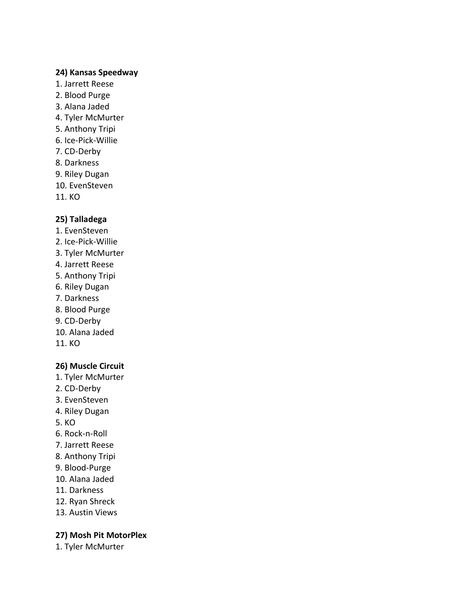#### **24) Kansas Speedway**

- 1. Jarrett Reese
- 2. Blood Purge
- 3. Alana Jaded
- 4. Tyler McMurter
- 5. Anthony Tripi
- 6. Ice-Pick-Willie
- 7. CD-Derby
- 8. Darkness
- 9. Riley Dugan
- 10. EvenSteven
- 11. KO

# **25) Talladega**

- 1. EvenSteven
- 2. Ice-Pick-Willie
- 3. Tyler McMurter
- 4. Jarrett Reese
- 5. Anthony Tripi
- 6. Riley Dugan
- 7. Darkness
- 8. Blood Purge
- 9. CD-Derby
- 10. Alana Jaded
- 11. KO

#### **26) Muscle Circuit**

- 1. Tyler McMurter
- 2. CD-Derby
- 3. EvenSteven
- 4. Riley Dugan
- 5. KO
- 6. Rock-n-Roll
- 7. Jarrett Reese
- 8. Anthony Tripi
- 9. Blood-Purge
- 10. Alana Jaded
- 11. Darkness
- 12. Ryan Shreck
- 13. Austin Views

#### **27) Mosh Pit MotorPlex**

1. Tyler McMurter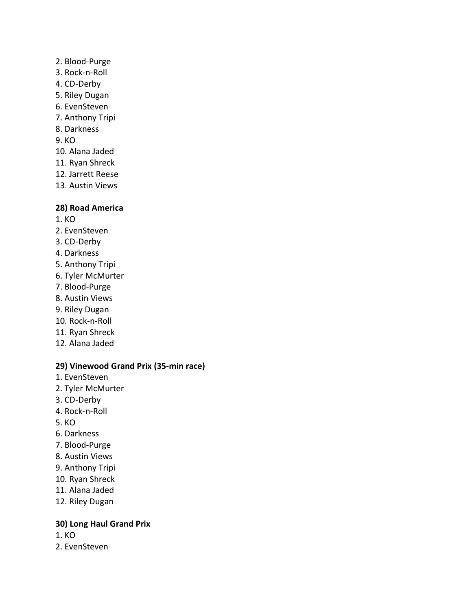- 2. Blood-Purge
- 3. Rock-n-Roll
- 4. CD-Derby
- 5. Riley Dugan
- 6. EvenSteven
- 7. Anthony Tripi
- 8. Darkness
- 9. KO
- 10. Alana Jaded
- 11. Ryan Shreck
- 12. Jarrett Reese
- 13. Austin Views

#### **28) Road America**

- 1. KO
- 2. EvenSteven
- 3. CD-Derby
- 4. Darkness
- 5. Anthony Tripi
- 6. Tyler McMurter
- 7. Blood-Purge
- 8. Austin Views
- 9. Riley Dugan
- 10. Rock-n-Roll
- 11. Ryan Shreck
- 12. Alana Jaded

#### **29) Vinewood Grand Prix (35-min race)**

- 1. EvenSteven
- 2. Tyler McMurter
- 3. CD-Derby
- 4. Rock-n-Roll
- 5. KO
- 6. Darkness
- 7. Blood-Purge
- 8. Austin Views
- 9. Anthony Tripi
- 10. Ryan Shreck
- 11. Alana Jaded
- 12. Riley Dugan

# **30) Long Haul Grand Prix**

- 1. KO
- 2. EvenSteven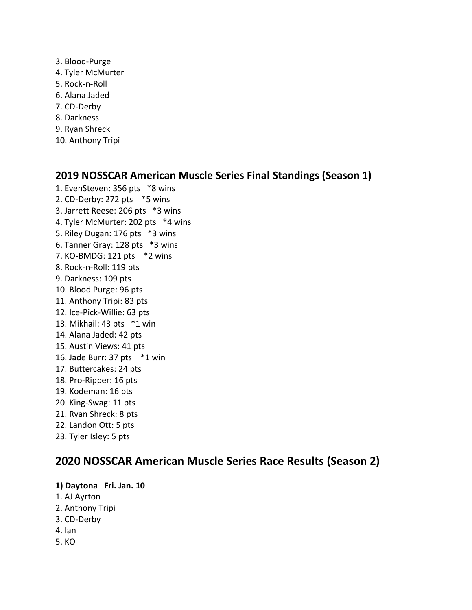- 3. Blood-Purge 4. Tyler McMurter 5. Rock-n-Roll 6. Alana Jaded 7. CD-Derby 8. Darkness 9. Ryan Shreck
- 10. Anthony Tripi

# **2019 NOSSCAR American Muscle Series Final Standings (Season 1)**

1. EvenSteven: 356 pts \*8 wins 2. CD-Derby: 272 pts \*5 wins 3. Jarrett Reese: 206 pts \*3 wins 4. Tyler McMurter: 202 pts \*4 wins 5. Riley Dugan: 176 pts \*3 wins 6. Tanner Gray: 128 pts \*3 wins 7. KO-BMDG: 121 pts \*2 wins 8. Rock-n-Roll: 119 pts 9. Darkness: 109 pts 10. Blood Purge: 96 pts 11. Anthony Tripi: 83 pts 12. Ice-Pick-Willie: 63 pts 13. Mikhail: 43 pts \*1 win 14. Alana Jaded: 42 pts 15. Austin Views: 41 pts 16. Jade Burr: 37 pts \*1 win 17. Buttercakes: 24 pts 18. Pro-Ripper: 16 pts 19. Kodeman: 16 pts 20. King-Swag: 11 pts 21. Ryan Shreck: 8 pts 22. Landon Ott: 5 pts 23. Tyler Isley: 5 pts

# **2020 NOSSCAR American Muscle Series Race Results (Season 2)**

**1) Daytona Fri. Jan. 10**

- 1. AJ Ayrton
- 2. Anthony Tripi
- 3. CD-Derby
- 4. Ian
- 5. KO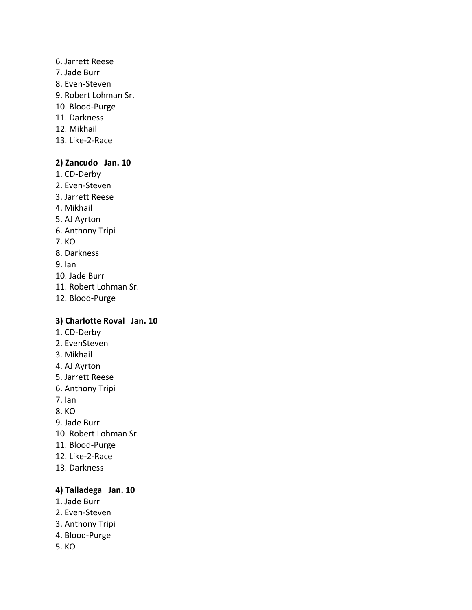#### 6. Jarrett Reese

- 7. Jade Burr
- 8. Even-Steven
- 9. Robert Lohman Sr.
- 10. Blood-Purge
- 11. Darkness
- 12. Mikhail
- 13. Like-2-Race

#### **2) Zancudo Jan. 10**

- 1. CD-Derby
- 2. Even-Steven
- 3. Jarrett Reese
- 4. Mikhail
- 5. AJ Ayrton
- 6. Anthony Tripi
- 7. KO
- 8. Darkness
- 9. Ian
- 10. Jade Burr
- 11. Robert Lohman Sr.
- 12. Blood-Purge

#### **3) Charlotte Roval Jan. 10**

- 1. CD-Derby
- 2. EvenSteven
- 3. Mikhail
- 4. AJ Ayrton
- 5. Jarrett Reese
- 6. Anthony Tripi
- 7. Ian
- 8. KO
- 9. Jade Burr
- 10. Robert Lohman Sr.
- 11. Blood-Purge
- 12. Like-2-Race
- 13. Darkness

#### **4) Talladega Jan. 10**

- 1. Jade Burr
- 2. Even-Steven
- 3. Anthony Tripi
- 4. Blood-Purge
- 5. KO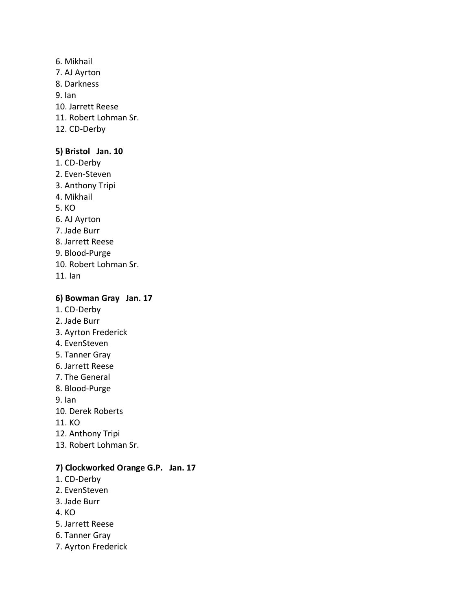- 6. Mikhail
- 7. AJ Ayrton
- 8. Darkness
- 9. Ian
- 10. Jarrett Reese
- 11. Robert Lohman Sr.
- 12. CD-Derby

# **5) Bristol Jan. 10**

- 1. CD-Derby
- 2. Even-Steven
- 3. Anthony Tripi
- 4. Mikhail
- 5. KO
- 6. AJ Ayrton
- 7. Jade Burr
- 8. Jarrett Reese
- 9. Blood-Purge
- 10. Robert Lohman Sr.
- 11. Ian

# **6) Bowman Gray Jan. 17**

- 1. CD-Derby
- 2. Jade Burr
- 3. Ayrton Frederick
- 4. EvenSteven
- 5. Tanner Gray
- 6. Jarrett Reese
- 7. The General
- 8. Blood-Purge
- 9. Ian
- 10. Derek Roberts
- 11. KO
- 12. Anthony Tripi
- 13. Robert Lohman Sr.

# **7) Clockworked Orange G.P. Jan. 17**

- 1. CD-Derby
- 2. EvenSteven
- 3. Jade Burr
- 4. KO
- 5. Jarrett Reese
- 6. Tanner Gray
- 7. Ayrton Frederick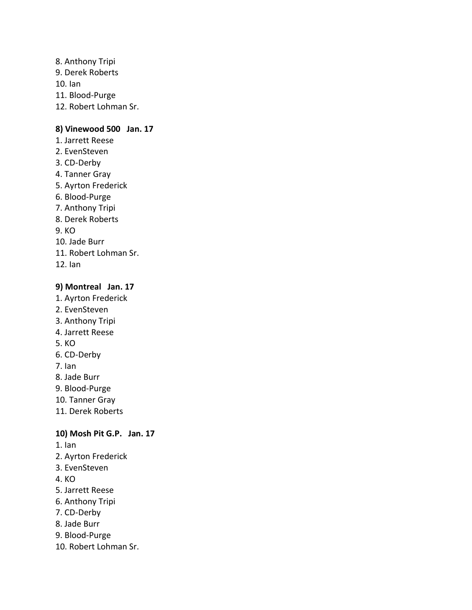8. Anthony Tripi 9. Derek Roberts 10. Ian 11. Blood-Purge 12. Robert Lohman Sr.

# **8) Vinewood 500 Jan. 17**

- 1. Jarrett Reese 2. EvenSteven 3. CD-Derby 4. Tanner Gray 5. Ayrton Frederick 6. Blood-Purge 7. Anthony Tripi 8. Derek Roberts  $9. K<sub>O</sub>$
- 10. Jade Burr
- 11. Robert Lohman Sr.
- 12. Ian

#### **9) Montreal Jan. 17**

- 1. Ayrton Frederick
- 2. EvenSteven
- 3. Anthony Tripi
- 4. Jarrett Reese
- 5. KO
- 6. CD-Derby
- 7. Ian
- 8. Jade Burr
- 9. Blood-Purge
- 10. Tanner Gray
- 11. Derek Roberts

#### **10) Mosh Pit G.P. Jan. 17**

- 1. Ian
- 2. Ayrton Frederick
- 3. EvenSteven
- 4. KO
- 5. Jarrett Reese
- 6. Anthony Tripi
- 7. CD-Derby
- 8. Jade Burr
- 9. Blood-Purge
- 10. Robert Lohman Sr.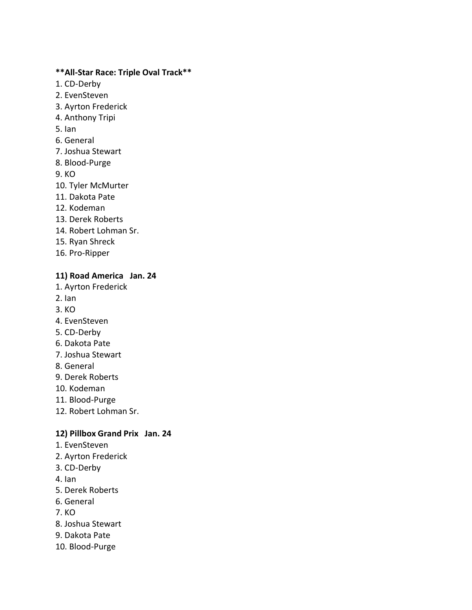#### **\*\*All-Star Race: Triple Oval Track\*\***

- 1. CD-Derby
- 2. EvenSteven
- 3. Ayrton Frederick
- 4. Anthony Tripi
- 5. Ian
- 6. General
- 7. Joshua Stewart
- 8. Blood-Purge
- 9. KO
- 10. Tyler McMurter
- 11. Dakota Pate
- 12. Kodeman
- 13. Derek Roberts
- 14. Robert Lohman Sr.
- 15. Ryan Shreck
- 16. Pro-Ripper

#### **11) Road America Jan. 24**

- 1. Ayrton Frederick
- 2. Ian
- 3. KO
- 4. EvenSteven
- 5. CD-Derby
- 6. Dakota Pate
- 7. Joshua Stewart
- 8. General
- 9. Derek Roberts
- 10. Kodeman
- 11. Blood-Purge
- 12. Robert Lohman Sr.

#### **12) Pillbox Grand Prix Jan. 24**

- 1. EvenSteven
- 2. Ayrton Frederick
- 3. CD-Derby
- 4. Ian
- 5. Derek Roberts
- 6. General
- 7. KO
- 8. Joshua Stewart
- 9. Dakota Pate
- 10. Blood-Purge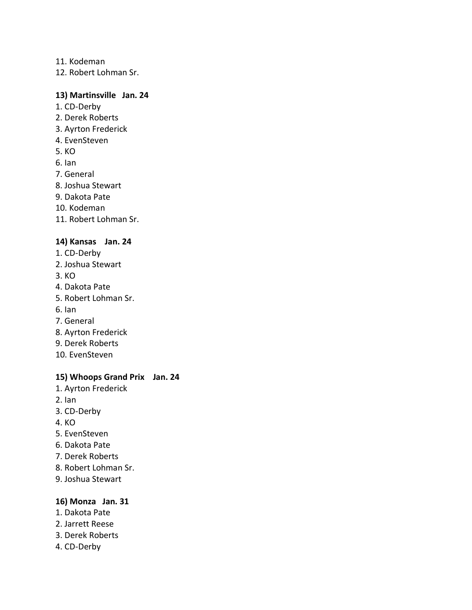11. Kodeman

12. Robert Lohman Sr.

#### **13) Martinsville Jan. 24**

- 1. CD-Derby
- 2. Derek Roberts
- 3. Ayrton Frederick
- 4. EvenSteven
- 5. KO
- 6. Ian
- 7. General
- 8. Joshua Stewart
- 9. Dakota Pate
- 10. Kodeman
- 11. Robert Lohman Sr.

#### **14) Kansas Jan. 24**

- 1. CD-Derby
- 2. Joshua Stewart
- 3. KO
- 4. Dakota Pate
- 5. Robert Lohman Sr.
- 6. Ian
- 7. General
- 8. Ayrton Frederick
- 9. Derek Roberts
- 10. EvenSteven

#### **15) Whoops Grand Prix Jan. 24**

- 1. Ayrton Frederick
- 2. Ian
- 3. CD-Derby
- 4. KO
- 5. EvenSteven
- 6. Dakota Pate
- 7. Derek Roberts
- 8. Robert Lohman Sr.
- 9. Joshua Stewart

#### **16) Monza Jan. 31**

- 1. Dakota Pate
- 2. Jarrett Reese
- 3. Derek Roberts
- 4. CD-Derby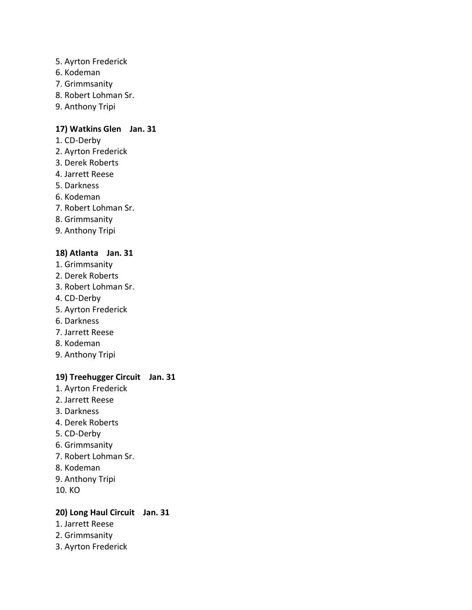- 5. Ayrton Frederick
- 6. Kodeman
- 7. Grimmsanity
- 8. Robert Lohman Sr.
- 9. Anthony Tripi

#### **17) Watkins Glen Jan. 31**

- 1. CD-Derby
- 2. Ayrton Frederick
- 3. Derek Roberts
- 4. Jarrett Reese
- 5. Darkness
- 6. Kodeman
- 7. Robert Lohman Sr.
- 8. Grimmsanity
- 9. Anthony Tripi

#### **18) Atlanta Jan. 31**

- 1. Grimmsanity
- 2. Derek Roberts
- 3. Robert Lohman Sr.
- 4. CD-Derby
- 5. Ayrton Frederick
- 6. Darkness
- 7. Jarrett Reese
- 8. Kodeman
- 9. Anthony Tripi

# **19) Treehugger Circuit Jan. 31**

- 1. Ayrton Frederick
- 2. Jarrett Reese
- 3. Darkness
- 4. Derek Roberts
- 5. CD-Derby
- 6. Grimmsanity
- 7. Robert Lohman Sr.
- 8. Kodeman
- 9. Anthony Tripi
- 10. KO

# **20) Long Haul Circuit Jan. 31**

- 1. Jarrett Reese
- 2. Grimmsanity
- 3. Ayrton Frederick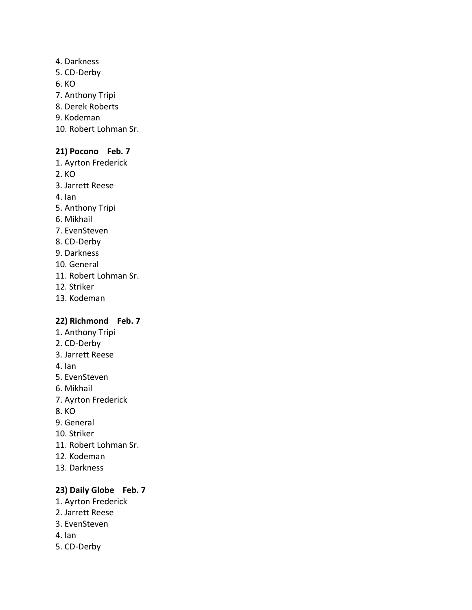4. Darkness 5. CD-Derby 6. KO 7. Anthony Tripi 8. Derek Roberts 9. Kodeman 10. Robert Lohman Sr.

# **21) Pocono Feb. 7**

- 1. Ayrton Frederick
- 2. KO
- 3. Jarrett Reese
- 4. Ian
- 5. Anthony Tripi
- 6. Mikhail
- 7. EvenSteven
- 8. CD-Derby
- 9. Darkness
- 10. General
- 11. Robert Lohman Sr.
- 12. Striker
- 13. Kodeman

#### **22) Richmond Feb. 7**

- 1. Anthony Tripi
- 2. CD-Derby
- 3. Jarrett Reese
- 4. Ian
- 5. EvenSteven
- 6. Mikhail
- 7. Ayrton Frederick
- 8. KO
- 9. General
- 10. Striker
- 11. Robert Lohman Sr.
- 12. Kodeman
- 13. Darkness

#### **23) Daily Globe Feb. 7**

- 1. Ayrton Frederick
- 2. Jarrett Reese
- 3. EvenSteven
- 4. Ian
- 5. CD-Derby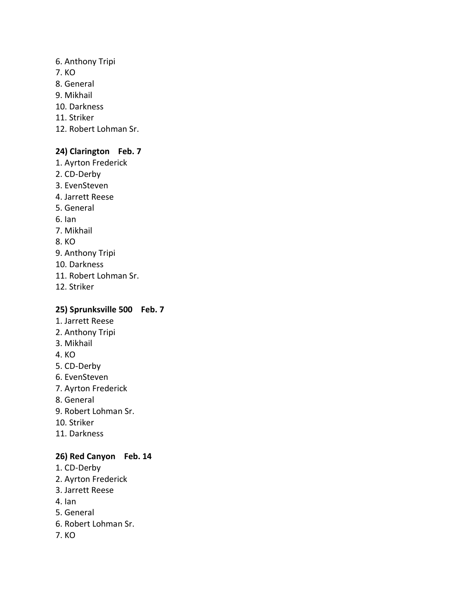- 6. Anthony Tripi
- 7. KO
- 8. General
- 9. Mikhail
- 10. Darkness
- 11. Striker
- 12. Robert Lohman Sr.

# **24) Clarington Feb. 7**

- 1. Ayrton Frederick
- 2. CD-Derby
- 3. EvenSteven
- 4. Jarrett Reese
- 5. General
- 6. Ian
- 7. Mikhail
- 8. KO
- 9. Anthony Tripi
- 10. Darkness
- 11. Robert Lohman Sr.
- 12. Striker

# **25) Sprunksville 500 Feb. 7**

- 1. Jarrett Reese
- 2. Anthony Tripi
- 3. Mikhail
- 4. KO
- 5. CD-Derby
- 6. EvenSteven
- 7. Ayrton Frederick
- 8. General
- 9. Robert Lohman Sr.
- 10. Striker
- 11. Darkness

# **26) Red Canyon Feb. 14**

- 1. CD-Derby
- 2. Ayrton Frederick
- 3. Jarrett Reese
- 4. Ian
- 5. General
- 6. Robert Lohman Sr.
- 7. KO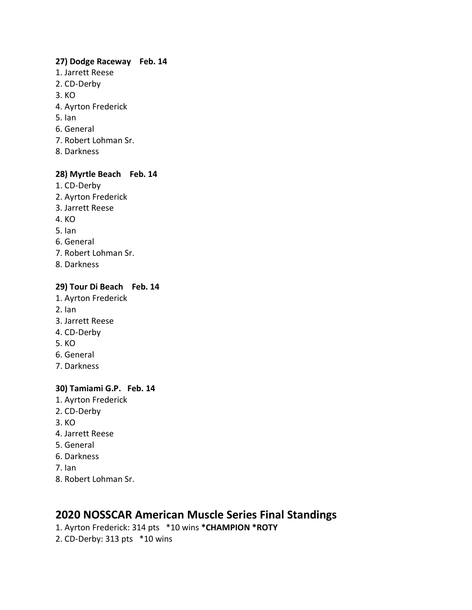#### **27) Dodge Raceway Feb. 14**

- 1. Jarrett Reese
- 2. CD-Derby
- 3. KO
- 4. Ayrton Frederick
- 5. Ian
- 6. General
- 7. Robert Lohman Sr.
- 8. Darkness

## **28) Myrtle Beach Feb. 14**

- 1. CD-Derby
- 2. Ayrton Frederick
- 3. Jarrett Reese
- 4. KO
- 5. Ian
- 6. General
- 7. Robert Lohman Sr.
- 8. Darkness

#### **29) Tour Di Beach Feb. 14**

- 1. Ayrton Frederick
- 2. Ian
- 3. Jarrett Reese
- 4. CD-Derby
- 5. KO
- 6. General
- 7. Darkness

#### **30) Tamiami G.P. Feb. 14**

- 1. Ayrton Frederick
- 2. CD-Derby
- 3. KO
- 4. Jarrett Reese
- 5. General
- 6. Darkness
- 7. Ian
- 8. Robert Lohman Sr.

# **2020 NOSSCAR American Muscle Series Final Standings**

- 1. Ayrton Frederick: 314 pts \*10 wins **\*CHAMPION \*ROTY**
- 2. CD-Derby: 313 pts \*10 wins